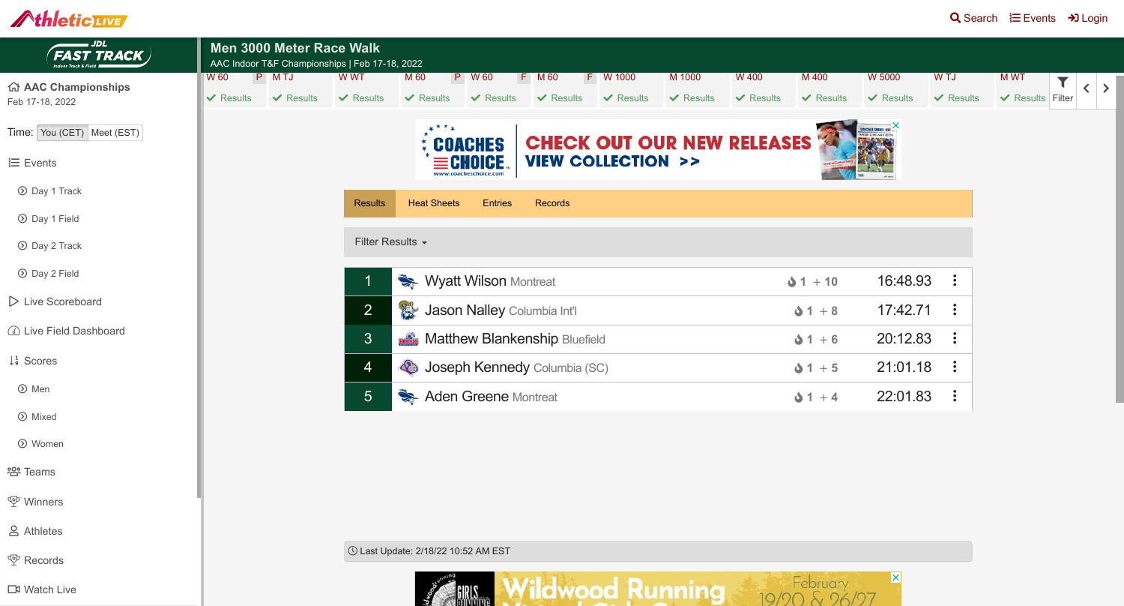





| Men 3000 Meter Race Walk<br>AAC Indoor T&F Championships   Feb 17-18, 2022 |                |                          |                                                     |                                         |                                                                      |                |                |                |                |                                                 |                  |
|----------------------------------------------------------------------------|----------------|--------------------------|-----------------------------------------------------|-----------------------------------------|----------------------------------------------------------------------|----------------|----------------|----------------|----------------|-------------------------------------------------|------------------|
| W 60                                                                       | P MTJ          | W WT                     | M 60<br>$\mathsf{P}$                                | W 60                                    | F M 60<br>F.                                                         | W 1000         | M 1000         | <b>W 400</b>   | M 400          | <b>W 5000</b>                                   | W TJ             |
| $\vee$ Results                                                             | $\vee$ Results | $\vee$ Results           | $\vee$ Results                                      | $\vee$ Results                          | $\vee$ Results                                                       | $\vee$ Results | $\vee$ Results | $\vee$ Results | $\vee$ Results | $\vee$ Results                                  | $\vee$ Resul     |
|                                                                            |                |                          |                                                     | <b>COACHES</b><br>www.coacheschoice.com | <b>CHECK OUT OUR NEW RELEASES</b><br><b>VIEW COLLECTION &gt;&gt;</b> |                |                |                |                | <b>CREATIONS</b> IN<br><b>HATE ZINH AND DEV</b> |                  |
|                                                                            |                | <b>Results</b>           | <b>Heat Sheets</b>                                  | <b>Entries</b>                          | <b>Records</b>                                                       |                |                |                |                |                                                 |                  |
|                                                                            |                | Filter Results -         |                                                     |                                         |                                                                      |                |                |                |                |                                                 |                  |
|                                                                            |                | $\overline{\phantom{a}}$ | Wyatt Wilson Montreat                               |                                         |                                                                      |                |                |                |                | 16:48.93                                        | $\ddot{\cdot}$   |
|                                                                            |                | 2                        | <b>CENTER</b><br><b>Jason Nalley Columbia Int'l</b> |                                         |                                                                      |                |                |                | $01 + 8$       | 17:42.71                                        | $\ddot{\bullet}$ |
|                                                                            |                | 3 <sup>1</sup>           | <b>Refig. Matthew Blankenship Bluefield</b>         |                                         |                                                                      |                |                |                | $01 + 6$       | 20:12.83                                        |                  |
|                                                                            |                | 4                        | Conseph Kennedy Columbia (SC)                       |                                         |                                                                      |                |                |                | $01 + 5$       | 21:01.18                                        |                  |
|                                                                            |                | $5\overline{)}$          | Aden Greene Montreat                                |                                         |                                                                      |                |                |                | $1 + 4$        | 22:01.83                                        | $\ddot{\bullet}$ |
|                                                                            |                |                          |                                                     |                                         |                                                                      |                |                |                |                |                                                 |                  |

! Last Update: 2/18/22 10:52 AM EST